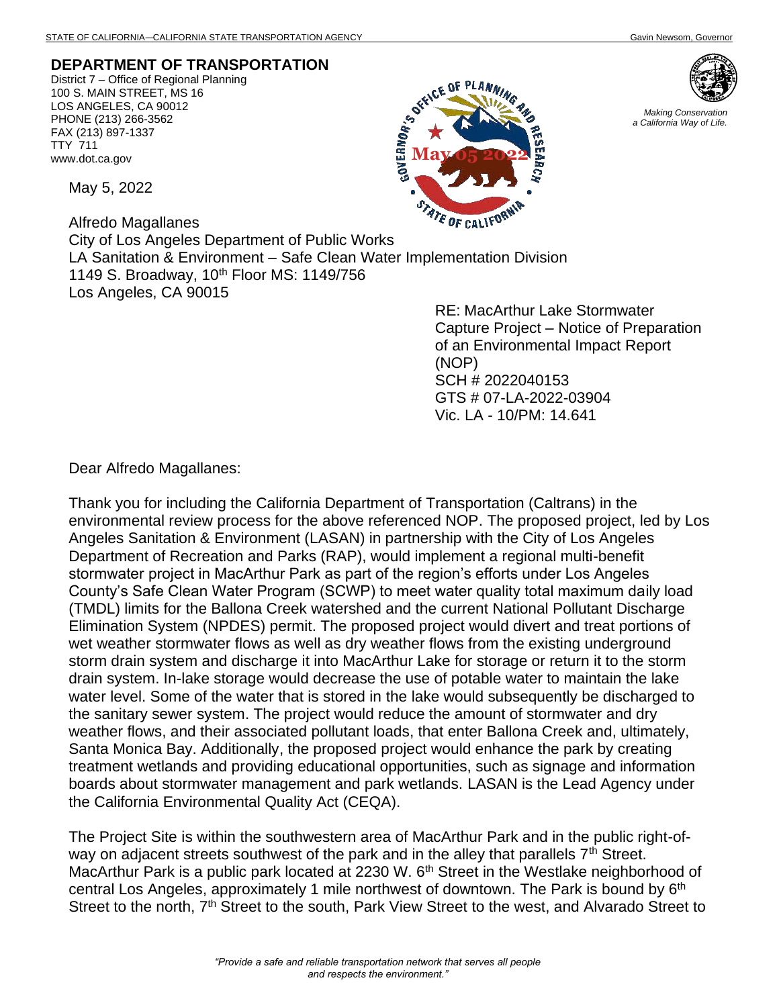## **DEPARTMENT OF TRANSPORTATION**

District 7 – Office of Regional Planning 100 S. MAIN STREET, MS 16 LOS ANGELES, CA 90012 PHONE (213) 266-3562 FAX (213) 897-1337 TTY 711 www.dot.ca.gov

May 5, 2022

Alfredo Magallanes City of Los Angeles Department of Public Works LA Sanitation & Environment – Safe Clean Water Implementation Division 1149 S. Broadway, 10<sup>th</sup> Floor MS: 1149/756 Los Angeles, CA 90015

RE: MacArthur Lake Stormwater Capture Project – Notice of Preparation of an Environmental Impact Report (NOP) SCH # 2022040153 GTS # 07-LA-2022-03904 Vic. LA - 10/PM: 14.641

Dear Alfredo Magallanes:

Thank you for including the California Department of Transportation (Caltrans) in the environmental review process for the above referenced NOP. The proposed project, led by Los Angeles Sanitation & Environment (LASAN) in partnership with the City of Los Angeles Department of Recreation and Parks (RAP), would implement a regional multi-benefit stormwater project in MacArthur Park as part of the region's efforts under Los Angeles County's Safe Clean Water Program (SCWP) to meet water quality total maximum daily load (TMDL) limits for the Ballona Creek watershed and the current National Pollutant Discharge Elimination System (NPDES) permit. The proposed project would divert and treat portions of wet weather stormwater flows as well as dry weather flows from the existing underground storm drain system and discharge it into MacArthur Lake for storage or return it to the storm drain system. In-lake storage would decrease the use of potable water to maintain the lake water level. Some of the water that is stored in the lake would subsequently be discharged to the sanitary sewer system. The project would reduce the amount of stormwater and dry weather flows, and their associated pollutant loads, that enter Ballona Creek and, ultimately, Santa Monica Bay. Additionally, the proposed project would enhance the park by creating treatment wetlands and providing educational opportunities, such as signage and information boards about stormwater management and park wetlands. LASAN is the Lead Agency under the California Environmental Quality Act (CEQA).

The Project Site is within the southwestern area of MacArthur Park and in the public right-ofway on adjacent streets southwest of the park and in the alley that parallels  $7<sup>th</sup>$  Street. MacArthur Park is a public park located at 2230 W. 6<sup>th</sup> Street in the Westlake neighborhood of central Los Angeles, approximately 1 mile northwest of downtown. The Park is bound by 6<sup>th</sup> Street to the north, 7<sup>th</sup> Street to the south, Park View Street to the west, and Alvarado Street to





*Making Conservation a California Way of Life.*